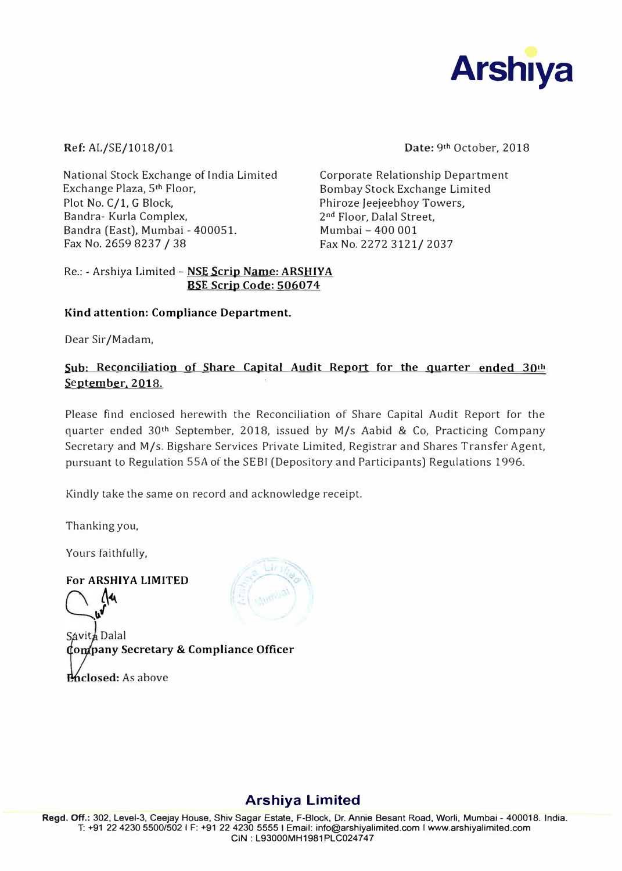

Ref: AL/SE/1018/01

National Stock Exchange of India Limited Exchange Plaza, 5**t<sup>h</sup>**Floor, Plot No. C/1, G Block, Bandra- Kurla Complex, Sandra (East), Mumbai - 400051. Fax No. 2659 8237 / 38

**Date:** 9**th** October, 2018

Corporate Relationship Department Bombay Stock Exchange Limited Phiroze Jeejeebhoy Towers. 2nd Floor, Dalal Street, Mumbai - 400 001 Fax No. 2272 3121/ 2037

### Re.: - Arshiya Limited - **NSE Scrip Name: ARSHIYA BSE Scrip Code: 506074**

### **Kind attention: Compliance Department.**

Dear Sir/Madam,

## **Sub: Reconciliation of Share Capital Audit Report for the guarter ended 30th**  September, 2018.

Please find enclosed herewith the Reconciliation of Share Capital Audit Report for the quarter ended 30**th** September, 2018, issued by M/s Aabid & Co, Practicing Company Secretary and M/s. Bigshare Services Private Limited, Registrar and Shares Transfer Agent, pursuant to Regulation SSA of the SEBI (Depository and Participants) Regulations 1996.

Kindly take the same on record and acknowledge receipt.

Thanking you,

Yours faithfully,

**For ARSHIYA LIMITED**<br>  $\begin{bmatrix} 1 & 1 \\ 0 & 0 \end{bmatrix}$ 

Sávit**á** Dalal **o pany Secretary** & **Compliance Officer Phiclosed:** As above



# **Arshiya Limited**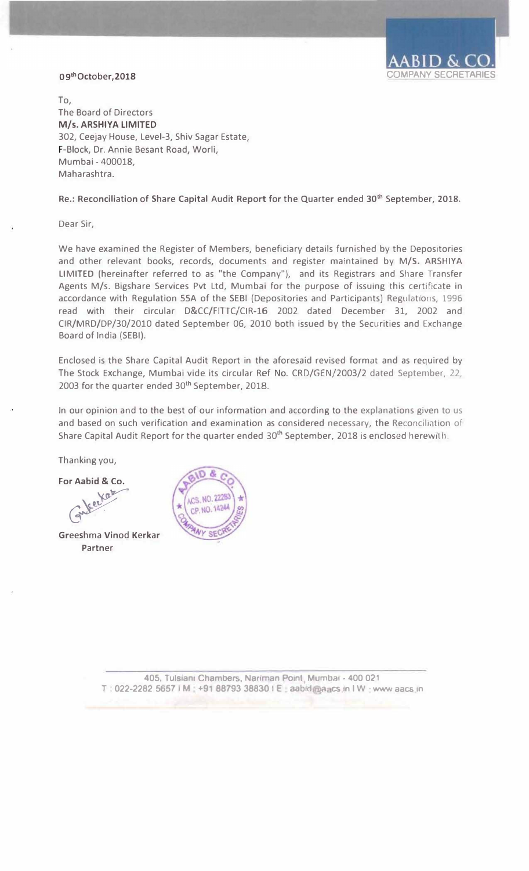

### 09th October, 2018

To, The Board of Directors **M/s. ARSHIYA LIMITED**  302, Ceejay House, Level-3, Shiv Sagar Estate, F-Block, Dr. Annie Besant Road, Worli, Mumbai - 400018, Maharashtra.

#### Re.: Reconciliation of Share Capital Audit Report for the Quarter ended 30**th** September, 2018.

Dear Sir,

We have examined the Register of Members, beneficiary details furnished by the Depositories and other relevant books, records, documents and register maintained by M/5. ARSHIYA LIMITED (hereinafter referred to as "the Company"), and its Registrars and Share Transfer Agents M/s. Bigshare Services Pvt Ltd, Mumbai for the purpose of issuing this certificate in accordance with Regulation SSA of the SEBI (Depositories and Participants) Regulations, 1996 read with their circular D&CC/FITTC/CIR-16 2002 dated December 31, 2002 and CIR/MRD/DP/30/2010 dated September 06, 2010 both issued by the Securities and Exchange Board of India (SEBI).

Enclosed is the Share Capital Audit Report in the aforesaid revised format and as required by The Stock Exchange, Mumbai vide its circular Ref No. CRD/GEN/2003/2 dated September, 22, 2003 for the quarter ended 30<sup>th</sup> September, 2018.

In our opinion and to the best of our information and according to the explanations given to us and based on such verification and examination as considered necessary, the Reconciliation of Share Capital Audit Report for the quarter ended 30**th** September, 2018 is enclosed herewith.

Thanking you,

**For Aabid** & **Co.**

**Kat** Gutec.

Greeshma Vinod Kerkar Partner



**405, Tulslanl Chambers, Nanman Point Mumbai - 400 021**  T **022-2282 5657** I **M +91 88793 38830** I **E** aabtd a cs in I **W** www aacs in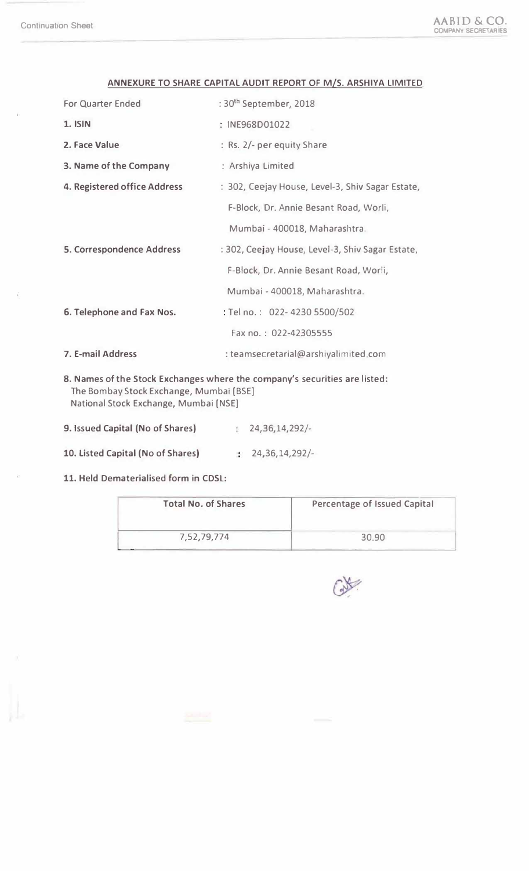| <b>For Quarter Ended</b>                                                                                              | : 30 <sup>th</sup> September, 2018               |  |  |  |
|-----------------------------------------------------------------------------------------------------------------------|--------------------------------------------------|--|--|--|
| <b>1. ISIN</b>                                                                                                        | : INE968D01022                                   |  |  |  |
| 2. Face Value                                                                                                         | : Rs. 2/- per equity Share                       |  |  |  |
| 3. Name of the Company                                                                                                | : Arshiya Limited                                |  |  |  |
| 4. Registered office Address                                                                                          | : 302, Ceejay House, Level-3, Shiv Sagar Estate, |  |  |  |
|                                                                                                                       | F-Block, Dr. Annie Besant Road, Worli,           |  |  |  |
|                                                                                                                       | Mumbai - 400018, Maharashtra.                    |  |  |  |
| <b>5. Correspondence Address</b>                                                                                      | : 302, Ceejay House, Level-3, Shiv Sagar Estate, |  |  |  |
|                                                                                                                       | F-Block, Dr. Annie Besant Road, Worli,           |  |  |  |
|                                                                                                                       | Mumbai - 400018, Maharashtra.                    |  |  |  |
| 6. Telephone and Fax Nos.                                                                                             | : Tel no.: 022-4230 5500/502                     |  |  |  |
|                                                                                                                       | Fax no.: 022-42305555                            |  |  |  |
| 7. E-mail Address                                                                                                     | : teamsecretarial@arshiyalimited.com             |  |  |  |
| 8. Names of the Stock Exchanges where the company's securities are listed:<br>The Bombay Stock Exchange, Mumbai [BSE] |                                                  |  |  |  |

### **ANNEXURE TO SHARE CAPITAL AUDIT REPORT OF M/S. ARSHIYA LIMITED**

- 9. Issued Capital (No of Shares) 24,36,14,292/-
- 10. Listed Capital (No of Shares) 24,36,14,292/-
- 11. Held Dematerialised form in CDSL:

National Stock Exchange, Mumbai [NSE]

| <b>Total No. of Shares</b> | Percentage of Issued Capital |  |  |
|----------------------------|------------------------------|--|--|
| 7,52,79,774                | 30.90                        |  |  |

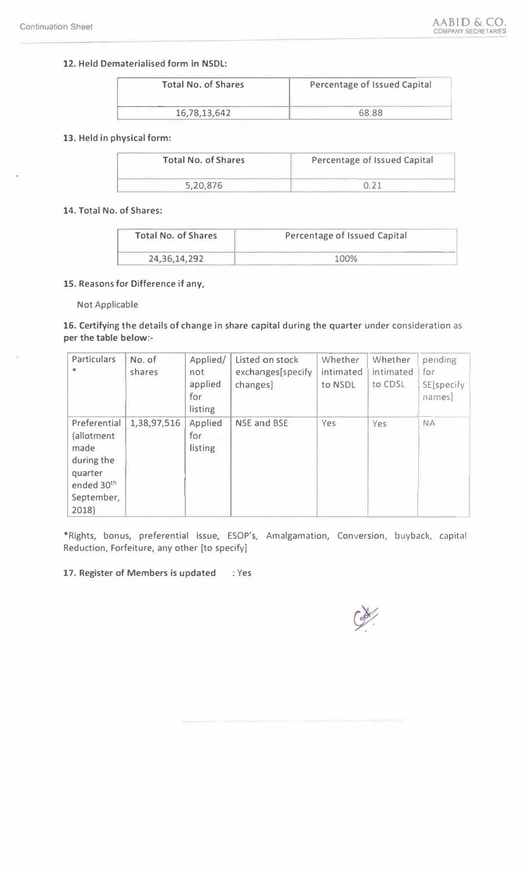## **12.** Held Dematerialised form in **NSDL:**

| <b>Total No. of Shares</b> | Percentage of Issued Capital |  |  |
|----------------------------|------------------------------|--|--|
| 16,78,13,642               | 68.88                        |  |  |

### 13. Held in physical form:

| <b>Total No. of Shares</b> | Percentage of Issued Capital |  |  |
|----------------------------|------------------------------|--|--|
| 5,20,876                   |                              |  |  |

### 14. Total No. of Shares:

| <b>Total No. of Shares</b> | Percentage of Issued Capital |  |  |
|----------------------------|------------------------------|--|--|
| 24, 36, 14, 292            | 100%                         |  |  |

#### 15. Reasons for Difference if any,

#### Not Applicable

16. Certifying the details of change in share capital during the quarter under consideration as **per the table below:-**

| <b>Particulars</b><br>$\frac{1}{2}$                                                              | No. of<br>shares | Applied/<br>not<br>applied<br>for<br>listing | Listed on stock<br>exchanges[specify<br>changes] | Whether<br>intimated<br>to NSDL | Whether<br>intimated<br>to CDSL | pending<br>for<br>SE[specify<br>names] |
|--------------------------------------------------------------------------------------------------|------------------|----------------------------------------------|--------------------------------------------------|---------------------------------|---------------------------------|----------------------------------------|
| Preferential<br>(allotment<br>made<br>during the<br>quarter<br>ended 30th<br>September,<br>2018) | 1,38,97,516      | Applied<br>for<br>listing                    | <b>NSE and BSE</b>                               | Yes                             | Yes                             | <b>NA</b>                              |

\*Rights, bonus, preferential issue, ESOP's, Amalgamation, Conversion, buyback, capitill Reduction, Forfeiture, any other [to specify]

### **17. Register of Members is updated** *:* Yes

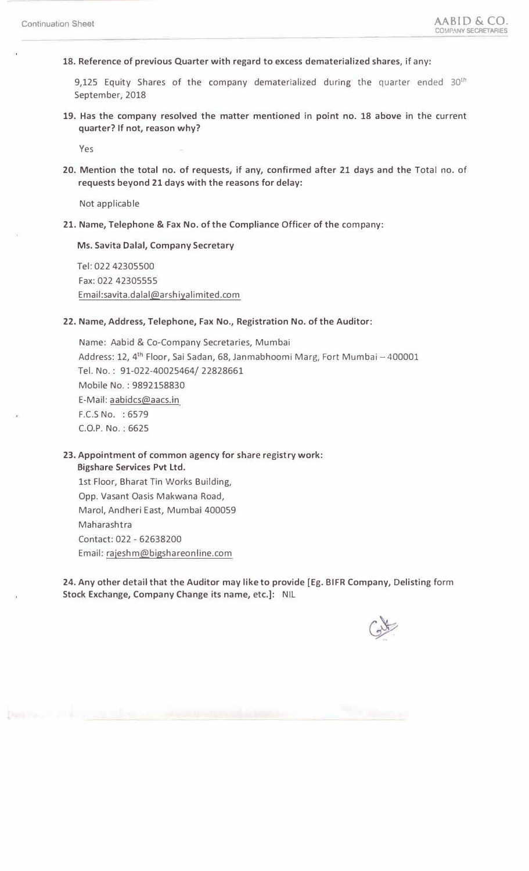**18. Reference of previous Quarter with regard to excess dematerialized shares,** if any:

9,125 Equity Shares of the company dematerialized during the quarter ended 30<sup>th</sup> September, 2018

**19. Has the company resolved the matter mentioned** in **point no. 18 above** in the current **quarter? If not, reason why?**

Yes

**20. Mention the total no. of requests,** if **any, confirmed after** *21* **days and the** Total no. of **requests beyond 21 days with the reasons for delay:**

Not applicable

**21. Name, Telephone** & **Fax No. of the Compliance** Officer **of the** company:

**Ms. Savita Dalal, Company Secretary**

Tel: 022 42305500 Fax: 022 42305555 Email:savita.dalal@arshiyalimited.com

#### **22. Name, Address, Telephone, Fax No., Registration No. of the Auditor:**

Name: Aabid & Co-Company Secretaries, Mumbai Address: 12, 4<sup>th</sup> Floor, Sai Sadan, 68, Janmabhoomi Marg, Fort Mumbai - 400001 Tel. No. : 91-022-40025464/ 22828661 Mobile No. : 9892158830 E-Mail: aabidcs@aacs.in F.C.S No. : 6579 C.O.P. No.: 6625

**23. Appointment of common agency for** share registry **work: Bigshare Services Pvt Ltd.**

1st Floor, Bharat Tin Works Building, Opp. Vasant Oasis Makwana Road, Marol, Andheri East, Mumbai 400059 Maharashtra Contact: 022 - 62638200 Email: rajeshm@bigshareonline.com

24. **Any other** detail **that the Auditor may like to provide** [Eg. BIFR **Company, Delisting** form **Stock Exchange, Company Change its name,** etc.]: NIL